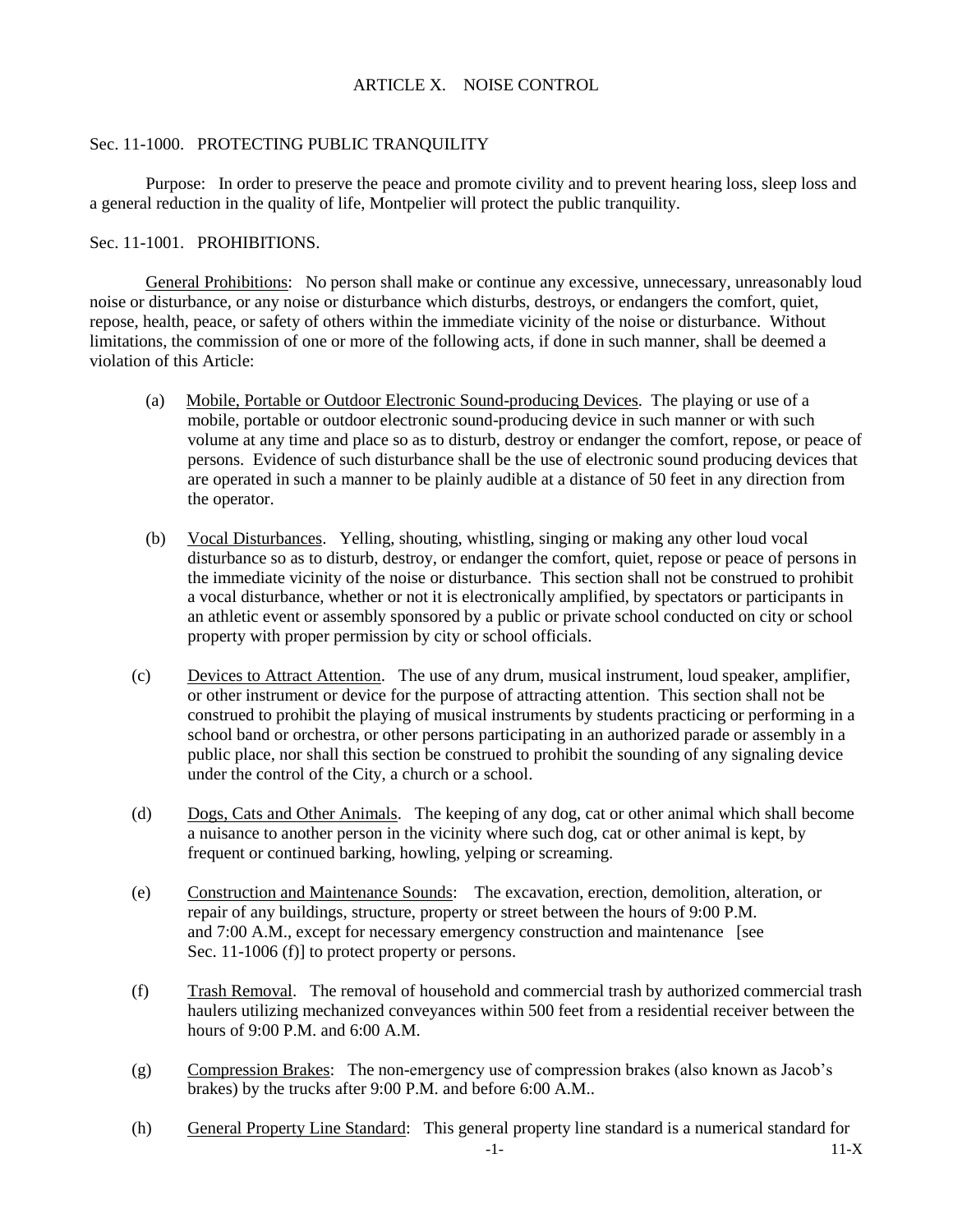# ARTICLE X. NOISE CONTROL

### Sec. 11-1000. PROTECTING PUBLIC TRANQUILITY

Purpose: In order to preserve the peace and promote civility and to prevent hearing loss, sleep loss and a general reduction in the quality of life, Montpelier will protect the public tranquility.

### Sec. 11-1001. PROHIBITIONS.

General Prohibitions: No person shall make or continue any excessive, unnecessary, unreasonably loud noise or disturbance, or any noise or disturbance which disturbs, destroys, or endangers the comfort, quiet, repose, health, peace, or safety of others within the immediate vicinity of the noise or disturbance. Without limitations, the commission of one or more of the following acts, if done in such manner, shall be deemed a violation of this Article:

- (a) Mobile, Portable or Outdoor Electronic Sound-producing Devices. The playing or use of a mobile, portable or outdoor electronic sound-producing device in such manner or with such volume at any time and place so as to disturb, destroy or endanger the comfort, repose, or peace of persons. Evidence of such disturbance shall be the use of electronic sound producing devices that are operated in such a manner to be plainly audible at a distance of 50 feet in any direction from the operator.
- (b) Vocal Disturbances. Yelling, shouting, whistling, singing or making any other loud vocal disturbance so as to disturb, destroy, or endanger the comfort, quiet, repose or peace of persons in the immediate vicinity of the noise or disturbance. This section shall not be construed to prohibit a vocal disturbance, whether or not it is electronically amplified, by spectators or participants in an athletic event or assembly sponsored by a public or private school conducted on city or school property with proper permission by city or school officials.
- (c) Devices to Attract Attention. The use of any drum, musical instrument, loud speaker, amplifier, or other instrument or device for the purpose of attracting attention. This section shall not be construed to prohibit the playing of musical instruments by students practicing or performing in a school band or orchestra, or other persons participating in an authorized parade or assembly in a public place, nor shall this section be construed to prohibit the sounding of any signaling device under the control of the City, a church or a school.
- (d) Dogs, Cats and Other Animals. The keeping of any dog, cat or other animal which shall become a nuisance to another person in the vicinity where such dog, cat or other animal is kept, by frequent or continued barking, howling, yelping or screaming.
- (e) Construction and Maintenance Sounds: The excavation, erection, demolition, alteration, or repair of any buildings, structure, property or street between the hours of 9:00 P.M. and 7:00 A.M., except for necessary emergency construction and maintenance [see Sec. 11-1006 (f)] to protect property or persons.
- (f) Trash Removal. The removal of household and commercial trash by authorized commercial trash haulers utilizing mechanized conveyances within 500 feet from a residential receiver between the hours of 9:00 P.M. and 6:00 A.M.
- (g) Compression Brakes: The non-emergency use of compression brakes (also known as Jacob's brakes) by the trucks after 9:00 P.M. and before 6:00 A.M..
- (h) General Property Line Standard: This general property line standard is a numerical standard for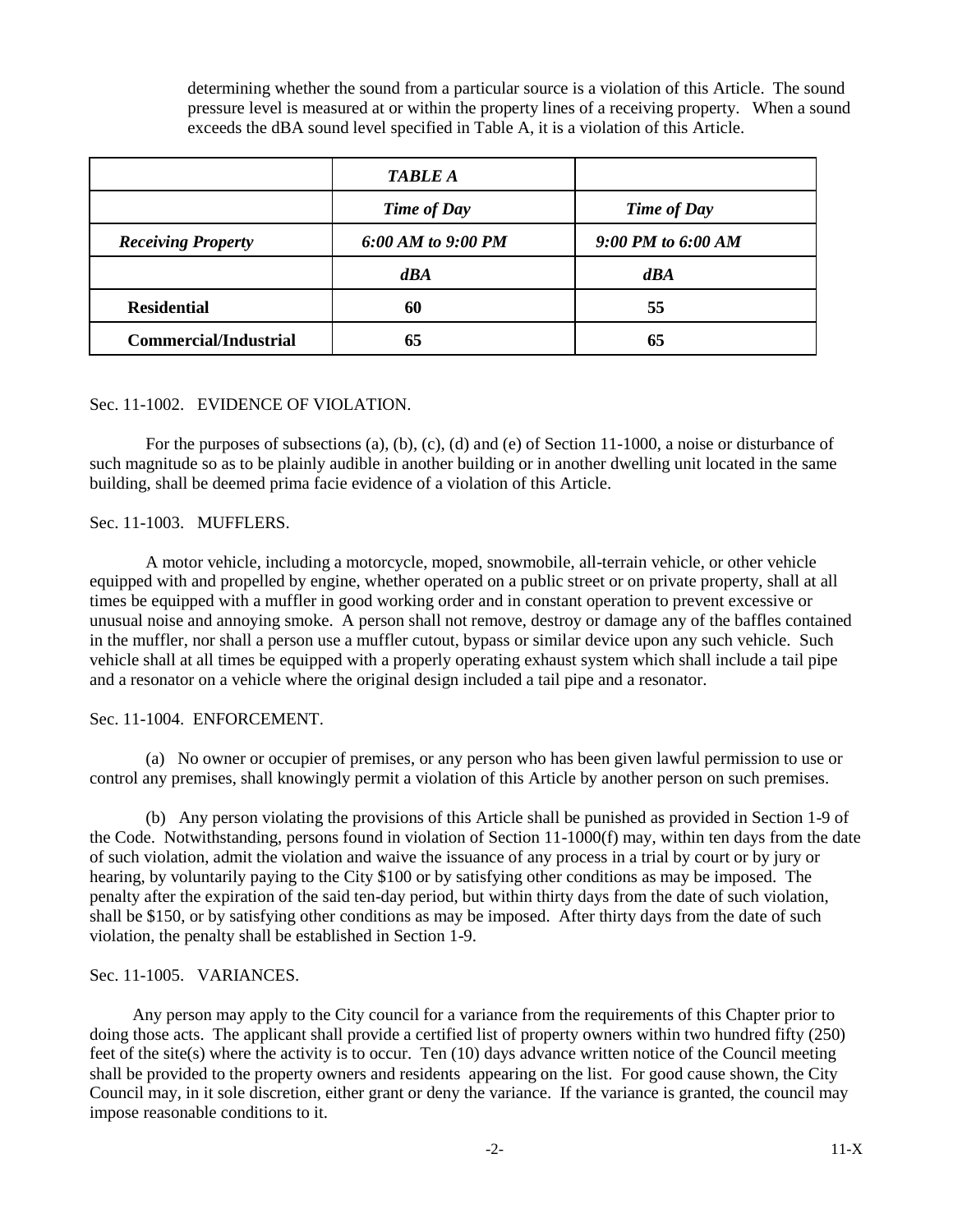determining whether the sound from a particular source is a violation of this Article. The sound pressure level is measured at or within the property lines of a receiving property. When a sound exceeds the dBA sound level specified in Table A, it is a violation of this Article.

|                              | <b>TABLE A</b>     |                    |
|------------------------------|--------------------|--------------------|
|                              | <b>Time of Day</b> | <b>Time of Day</b> |
| <b>Receiving Property</b>    | 6:00 AM to 9:00 PM | 9:00 PM to 6:00 AM |
|                              | dBA                | dBA                |
| <b>Residential</b>           | 60                 | 55                 |
| <b>Commercial/Industrial</b> | 65                 | 65                 |

#### Sec. 11-1002. EVIDENCE OF VIOLATION.

For the purposes of subsections (a), (b), (c), (d) and (e) of Section 11-1000, a noise or disturbance of such magnitude so as to be plainly audible in another building or in another dwelling unit located in the same building, shall be deemed prima facie evidence of a violation of this Article.

#### Sec. 11-1003. MUFFLERS.

A motor vehicle, including a motorcycle, moped, snowmobile, all-terrain vehicle, or other vehicle equipped with and propelled by engine, whether operated on a public street or on private property, shall at all times be equipped with a muffler in good working order and in constant operation to prevent excessive or unusual noise and annoying smoke. A person shall not remove, destroy or damage any of the baffles contained in the muffler, nor shall a person use a muffler cutout, bypass or similar device upon any such vehicle. Such vehicle shall at all times be equipped with a properly operating exhaust system which shall include a tail pipe and a resonator on a vehicle where the original design included a tail pipe and a resonator.

## Sec. 11-1004. ENFORCEMENT.

(a) No owner or occupier of premises, or any person who has been given lawful permission to use or control any premises, shall knowingly permit a violation of this Article by another person on such premises.

(b) Any person violating the provisions of this Article shall be punished as provided in Section 1-9 of the Code. Notwithstanding, persons found in violation of Section 11-1000(f) may, within ten days from the date of such violation, admit the violation and waive the issuance of any process in a trial by court or by jury or hearing, by voluntarily paying to the City \$100 or by satisfying other conditions as may be imposed. The penalty after the expiration of the said ten-day period, but within thirty days from the date of such violation, shall be \$150, or by satisfying other conditions as may be imposed. After thirty days from the date of such violation, the penalty shall be established in Section 1-9.

# Sec. 11-1005. VARIANCES.

 Any person may apply to the City council for a variance from the requirements of this Chapter prior to doing those acts. The applicant shall provide a certified list of property owners within two hundred fifty (250) feet of the site(s) where the activity is to occur. Ten (10) days advance written notice of the Council meeting shall be provided to the property owners and residents appearing on the list. For good cause shown, the City Council may, in it sole discretion, either grant or deny the variance. If the variance is granted, the council may impose reasonable conditions to it.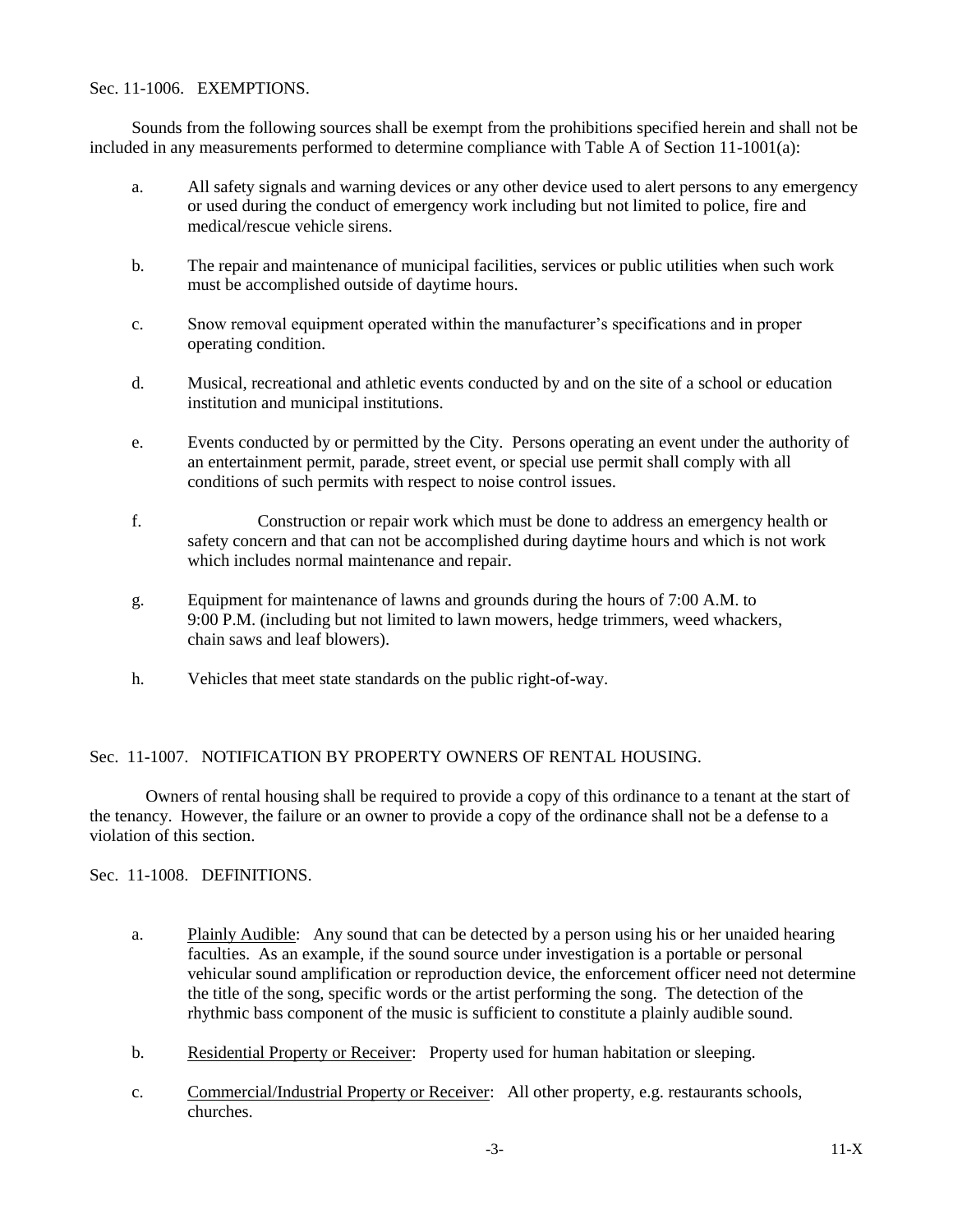## Sec. 11-1006. EXEMPTIONS.

Sounds from the following sources shall be exempt from the prohibitions specified herein and shall not be included in any measurements performed to determine compliance with Table A of Section 11-1001(a):

- a. All safety signals and warning devices or any other device used to alert persons to any emergency or used during the conduct of emergency work including but not limited to police, fire and medical/rescue vehicle sirens.
- b. The repair and maintenance of municipal facilities, services or public utilities when such work must be accomplished outside of daytime hours.
- c. Snow removal equipment operated within the manufacturer's specifications and in proper operating condition.
- d. Musical, recreational and athletic events conducted by and on the site of a school or education institution and municipal institutions.
- e. Events conducted by or permitted by the City. Persons operating an event under the authority of an entertainment permit, parade, street event, or special use permit shall comply with all conditions of such permits with respect to noise control issues.
- f. Construction or repair work which must be done to address an emergency health or safety concern and that can not be accomplished during daytime hours and which is not work which includes normal maintenance and repair.
- g. Equipment for maintenance of lawns and grounds during the hours of 7:00 A.M. to 9:00 P.M. (including but not limited to lawn mowers, hedge trimmers, weed whackers, chain saws and leaf blowers).
- h. Vehicles that meet state standards on the public right-of-way.

## Sec. 11-1007. NOTIFICATION BY PROPERTY OWNERS OF RENTAL HOUSING.

Owners of rental housing shall be required to provide a copy of this ordinance to a tenant at the start of the tenancy. However, the failure or an owner to provide a copy of the ordinance shall not be a defense to a violation of this section.

Sec. 11-1008. DEFINITIONS.

- a. Plainly Audible: Any sound that can be detected by a person using his or her unaided hearing faculties. As an example, if the sound source under investigation is a portable or personal vehicular sound amplification or reproduction device, the enforcement officer need not determine the title of the song, specific words or the artist performing the song. The detection of the rhythmic bass component of the music is sufficient to constitute a plainly audible sound.
- b. Residential Property or Receiver: Property used for human habitation or sleeping.
- c. Commercial/Industrial Property or Receiver: All other property, e.g. restaurants schools, churches.